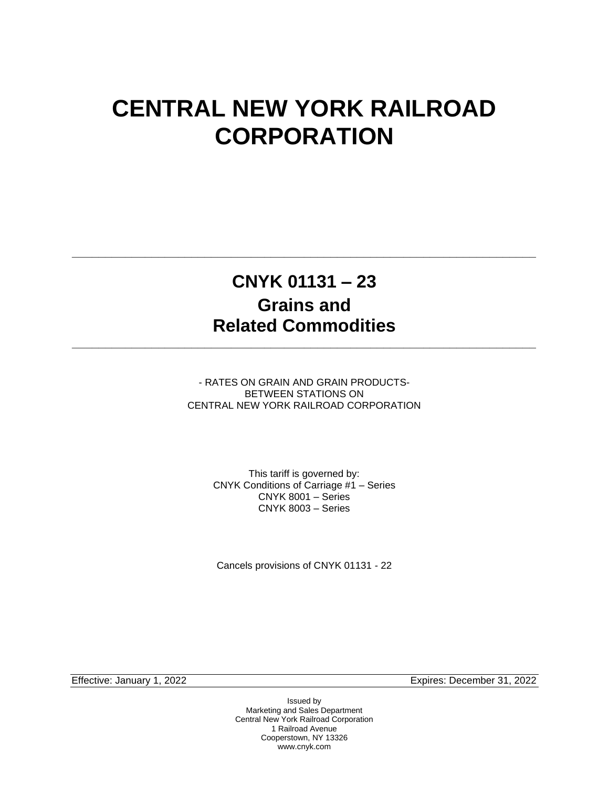# **CENTRAL NEW YORK RAILROAD CORPORATION**

## **CNYK 01131 – 23 Grains and Related Commodities**

**\_\_\_\_\_\_\_\_\_\_\_\_\_\_\_\_\_\_\_\_\_\_\_\_\_\_\_\_\_\_\_\_\_\_\_\_\_\_\_\_\_\_\_\_\_\_\_\_\_\_\_\_\_\_\_\_\_\_\_\_\_\_\_\_\_\_\_\_\_\_**

**\_\_\_\_\_\_\_\_\_\_\_\_\_\_\_\_\_\_\_\_\_\_\_\_\_\_\_\_\_\_\_\_\_\_\_\_\_\_\_\_\_\_\_\_\_\_\_\_\_\_\_\_\_\_\_\_\_\_\_\_\_\_\_\_\_\_\_\_\_\_**

- RATES ON GRAIN AND GRAIN PRODUCTS-BETWEEN STATIONS ON CENTRAL NEW YORK RAILROAD CORPORATION

> This tariff is governed by: CNYK Conditions of Carriage #1 – Series CNYK 8001 – Series CNYK 8003 – Series

Cancels provisions of CNYK 01131 - 22

Effective: January 1, 2022 Expires: December 31, 2022

Issued by Marketing and Sales Department Central New York Railroad Corporation 1 Railroad Avenue Cooperstown, NY 13326 www.cnyk.com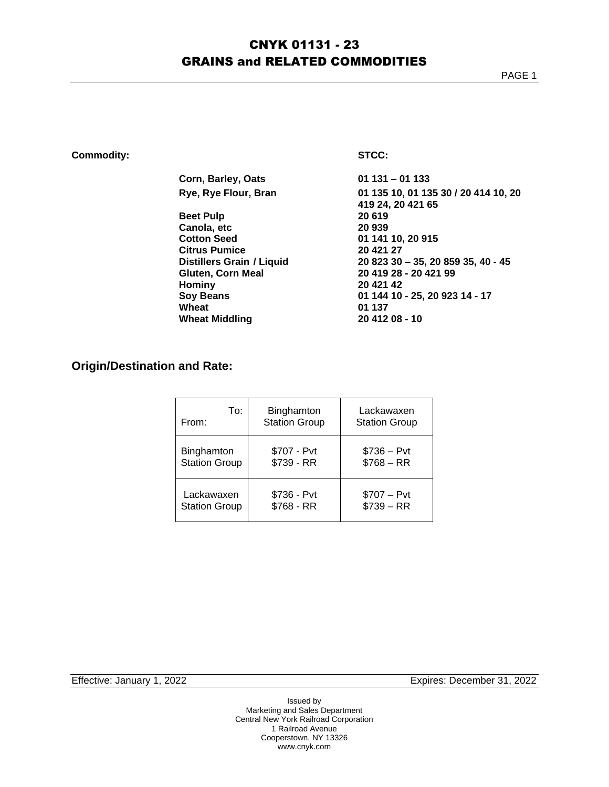### CNYK 01131 - 23 GRAINS and RELATED COMMODITIES

### **Commodity: STCC:**

| Corn, Barley, Oats        | $01131 - 01133$                      |
|---------------------------|--------------------------------------|
| Rye, Rye Flour, Bran      | 01 135 10, 01 135 30 / 20 414 10, 20 |
|                           | 419 24, 20 421 65                    |
| <b>Beet Pulp</b>          | 20 619                               |
| Canola, etc               | 20 939                               |
| <b>Cotton Seed</b>        | 01 141 10, 20 915                    |
| Citrus Pumice             | 20 421 27                            |
| Distillers Grain / Liquid | 20 823 30 - 35, 20 859 35, 40 - 45   |
| Gluten, Corn Meal         | 20 419 28 - 20 421 99                |
| Hominy                    | 20 421 42                            |
| <b>Soy Beans</b>          | 01 144 10 - 25, 20 923 14 - 17       |
| Wheat                     | 01 137                               |
| <b>Wheat Middling</b>     | 20 412 08 - 10                       |
|                           |                                      |

### **Origin/Destination and Rate:**

| To:                  | Binghamton           | Lackawaxen           |
|----------------------|----------------------|----------------------|
| From:                | <b>Station Group</b> | <b>Station Group</b> |
| Binghamton           | \$707 - Pvt          | $$736 - Pvt$         |
| <b>Station Group</b> | \$739 - RR           | $$768 - RR$          |
| Lackawaxen           | \$736 - Pvt          | $$707 - Pvt$         |
| <b>Station Group</b> | $$768 - RR$          | $$739 - RR$          |

Effective: January 1, 2022 **Expires: December 31, 2022**